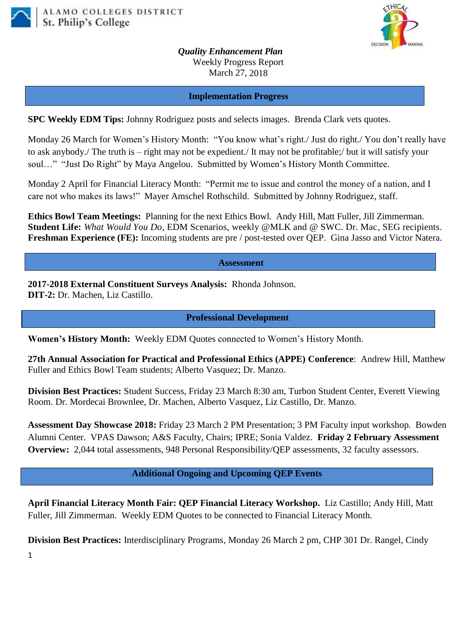



*Quality Enhancement Plan* Weekly Progress Report March 27, 2018

#### **Implementation Progress**

**SPC Weekly EDM Tips:** Johnny Rodriguez posts and selects images. Brenda Clark vets quotes.

Monday 26 March for Women's History Month: "You know what's right./ Just do right./ You don't really have to ask anybody./ The truth is – right may not be expedient./ It may not be profitable;/ but it will satisfy your soul…" "Just Do Right" by Maya Angelou. Submitted by Women's History Month Committee.

Monday 2 April for Financial Literacy Month: "Permit me to issue and control the money of a nation, and I care not who makes its laws!" Mayer Amschel Rothschild. Submitted by Johnny Rodriguez, staff.

**Ethics Bowl Team Meetings:** Planning for the next Ethics Bowl.Andy Hill, Matt Fuller, Jill Zimmerman. **Student Life:** *What Would You Do*, EDM Scenarios, weekly @MLK and @ SWC. Dr. Mac, SEG recipients. **Freshman Experience (FE):** Incoming students are pre / post-tested over QEP. Gina Jasso and Victor Natera.

### **Assessment**

**2017-2018 External Constituent Surveys Analysis:** Rhonda Johnson. **DIT-2:** Dr. Machen, Liz Castillo.

# **Professional Development**

**Women's History Month:** Weekly EDM Quotes connected to Women's History Month.

**27th Annual Association for Practical and Professional Ethics (APPE) Conference**: Andrew Hill, Matthew Fuller and Ethics Bowl Team students; Alberto Vasquez; Dr. Manzo.

**Division Best Practices:** Student Success, Friday 23 March 8:30 am, Turbon Student Center, Everett Viewing Room. Dr. Mordecai Brownlee, Dr. Machen, Alberto Vasquez, Liz Castillo, Dr. Manzo.

**Assessment Day Showcase 2018:** Friday 23 March 2 PM Presentation; 3 PM Faculty input workshop. Bowden Alumni Center. VPAS Dawson; A&S Faculty, Chairs; IPRE; Sonia Valdez. **Friday 2 February Assessment Overview:** 2,044 total assessments, 948 Personal Responsibility/QEP assessments, 32 faculty assessors.

# **Additional Ongoing and Upcoming QEP Events**

**April Financial Literacy Month Fair: QEP Financial Literacy Workshop.** Liz Castillo; Andy Hill, Matt Fuller, Jill Zimmerman. Weekly EDM Quotes to be connected to Financial Literacy Month.

**Division Best Practices:** Interdisciplinary Programs, Monday 26 March 2 pm, CHP 301 Dr. Rangel, Cindy